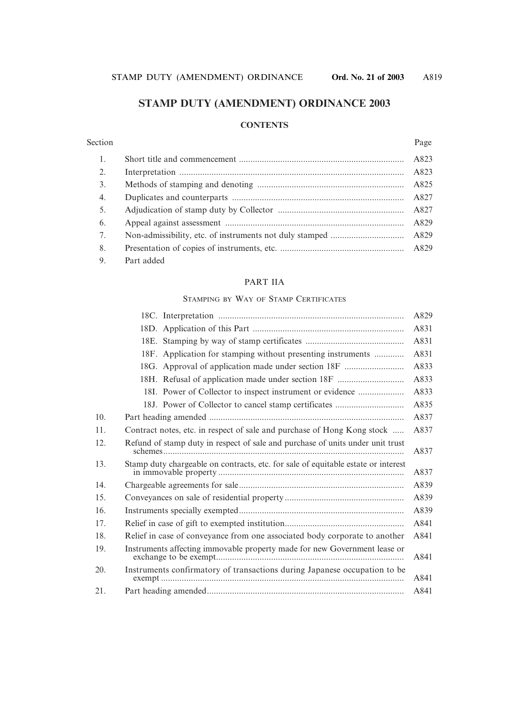# **STAMP DUTY (AMENDMENT) ORDINANCE 2003**

#### **CONTENTS**

#### Section Page

| 1. |            |      |
|----|------------|------|
| 2. |            |      |
| 3. |            |      |
| 4. |            |      |
| 5. |            |      |
| 6. |            | A829 |
| 7. |            |      |
| 8. |            |      |
| 9. | Part added |      |

#### PART IIA

#### STAMPING BY WAY OF STAMP CERTIFICATES

|     |                                                                                   | A829 |
|-----|-----------------------------------------------------------------------------------|------|
|     |                                                                                   | A831 |
|     |                                                                                   | A831 |
|     | 18F. Application for stamping without presenting instruments                      | A831 |
|     | 18G. Approval of application made under section 18F                               | A833 |
|     | 18H. Refusal of application made under section 18F                                | A833 |
|     | 18I. Power of Collector to inspect instrument or evidence                         | A833 |
|     | 18J. Power of Collector to cancel stamp certificates                              | A835 |
| 10. |                                                                                   | A837 |
| 11. | Contract notes, etc. in respect of sale and purchase of Hong Kong stock           | A837 |
| 12. | Refund of stamp duty in respect of sale and purchase of units under unit trust    | A837 |
| 13. | Stamp duty chargeable on contracts, etc. for sale of equitable estate or interest | A837 |
| 14. |                                                                                   | A839 |
| 15. |                                                                                   | A839 |
| 16. |                                                                                   | A839 |
| 17. |                                                                                   | A841 |
| 18. | Relief in case of conveyance from one associated body corporate to another        | A841 |
| 19. | Instruments affecting immovable property made for new Government lease or         | A841 |
| 20. | Instruments confirmatory of transactions during Japanese occupation to be         | A841 |
| 21. |                                                                                   | A841 |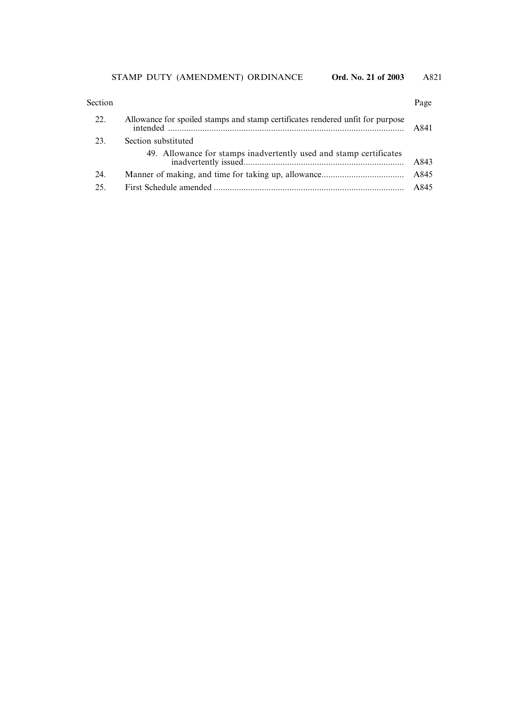| Section | Page |
|---------|------|
|---------|------|

| 22. | Allowance for spoiled stamps and stamp certificates rendered unfit for purpose | A841 |
|-----|--------------------------------------------------------------------------------|------|
| 23. | Section substituted                                                            |      |
|     | 49. Allowance for stamps inadvertently used and stamp certificates             | A843 |
| 24. |                                                                                | A845 |
| 25. |                                                                                | A845 |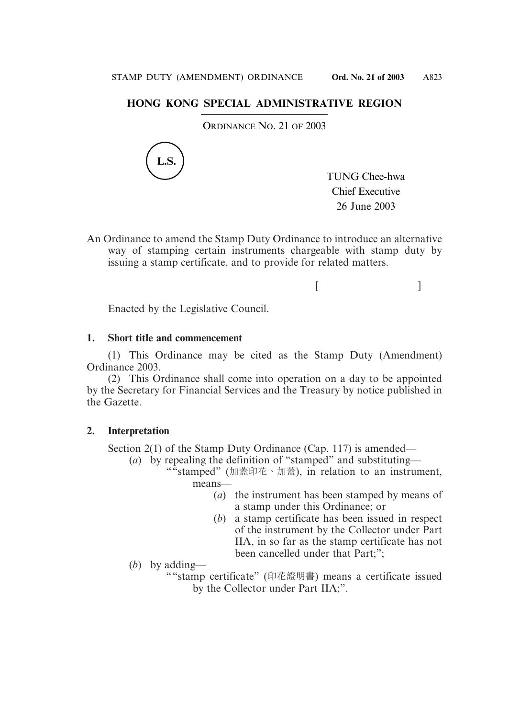### **HONG KONG SPECIAL ADMINISTRATIVE REGION**

ORDINANCE NO. 21 OF 2003



TUNG Chee-hwa Chief Executive 26 June 2003

An Ordinance to amend the Stamp Duty Ordinance to introduce an alternative way of stamping certain instruments chargeable with stamp duty by issuing a stamp certificate, and to provide for related matters.

 $[$   $]$ 

Enacted by the Legislative Council.

#### **1. Short title and commencement**

(1) This Ordinance may be cited as the Stamp Duty (Amendment) Ordinance 2003.

(2) This Ordinance shall come into operation on a day to be appointed by the Secretary for Financial Services and the Treasury by notice published in the Gazette.

#### **2. Interpretation**

Section 2(1) of the Stamp Duty Ordinance (Cap. 117) is amended—

(*a*) by repealing the definition of "stamped" and substituting—

- ""stamped" (加蓋印花、加蓋), in relation to an instrument, means—
	- (*a*) the instrument has been stamped by means of a stamp under this Ordinance; or
	- (*b*) a stamp certificate has been issued in respect of the instrument by the Collector under Part IIA, in so far as the stamp certificate has not been cancelled under that Part;":

(*b*) by adding—

""stamp certificate" (印花證明書) means a certificate issued by the Collector under Part IIA;".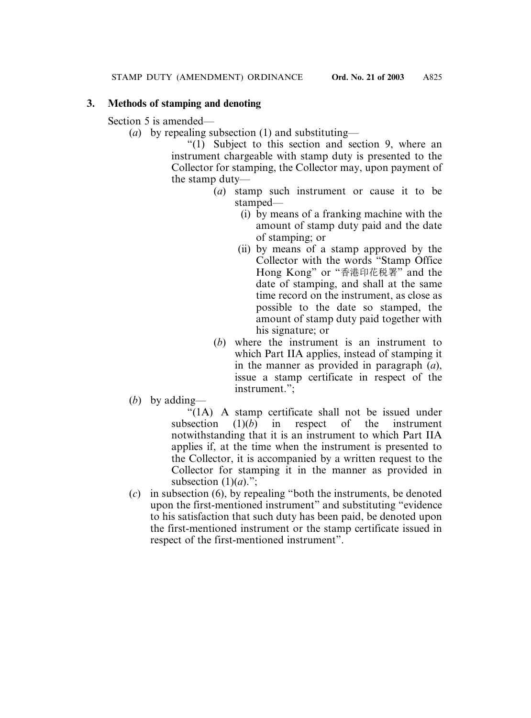# **3. Methods of stamping and denoting**

Section 5 is amended—

(*a*) by repealing subsection (1) and substituting—

"(1) Subject to this section and section 9, where an instrument chargeable with stamp duty is presented to the Collector for stamping, the Collector may, upon payment of the stamp duty—

- (*a*) stamp such instrument or cause it to be stamped—
	- (i) by means of a franking machine with the amount of stamp duty paid and the date of stamping; or
	- (ii) by means of a stamp approved by the Collector with the words "Stamp Office Hong Kong" or "香港印花稅署" and the date of stamping, and shall at the same time record on the instrument, as close as possible to the date so stamped, the amount of stamp duty paid together with his signature; or
- (*b*) where the instrument is an instrument to which Part IIA applies, instead of stamping it in the manner as provided in paragraph (*a*), issue a stamp certificate in respect of the instrument.";
- (*b*) by adding—

"(1A) A stamp certificate shall not be issued under subsection (1)(*b*) in respect of the instrument notwithstanding that it is an instrument to which Part IIA applies if, at the time when the instrument is presented to the Collector, it is accompanied by a written request to the Collector for stamping it in the manner as provided in subsection  $(1)(a)$ .":

(*c*) in subsection (6), by repealing "both the instruments, be denoted upon the first-mentioned instrument" and substituting "evidence to his satisfaction that such duty has been paid, be denoted upon the first-mentioned instrument or the stamp certificate issued in respect of the first-mentioned instrument".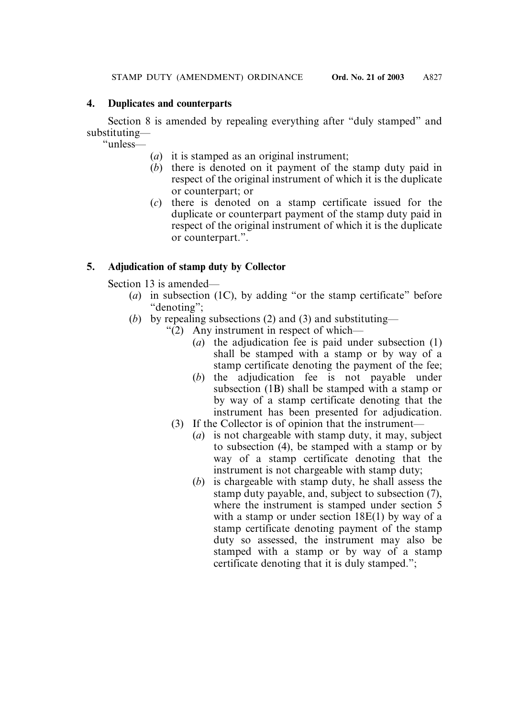#### **4. Duplicates and counterparts**

Section 8 is amended by repealing everything after "duly stamped" and substituting—

"unless—

- (*a*) it is stamped as an original instrument;
- (*b*) there is denoted on it payment of the stamp duty paid in respect of the original instrument of which it is the duplicate or counterpart; or
- (*c*) there is denoted on a stamp certificate issued for the duplicate or counterpart payment of the stamp duty paid in respect of the original instrument of which it is the duplicate or counterpart.".

# **5. Adjudication of stamp duty by Collector**

Section 13 is amended—

- (*a*) in subsection (1C), by adding "or the stamp certificate" before "denoting";
- (*b*) by repealing subsections (2) and (3) and substituting—
	- "(2) Any instrument in respect of which—
		- (*a*) the adjudication fee is paid under subsection (1) shall be stamped with a stamp or by way of a stamp certificate denoting the payment of the fee;
		- (*b*) the adjudication fee is not payable under subsection (1B) shall be stamped with a stamp or by way of a stamp certificate denoting that the instrument has been presented for adjudication.
		- (3) If the Collector is of opinion that the instrument—
			- (*a*) is not chargeable with stamp duty, it may, subject to subsection (4), be stamped with a stamp or by way of a stamp certificate denoting that the instrument is not chargeable with stamp duty;
			- (*b*) is chargeable with stamp duty, he shall assess the stamp duty payable, and, subject to subsection (7), where the instrument is stamped under section 5 with a stamp or under section 18E(1) by way of a stamp certificate denoting payment of the stamp duty so assessed, the instrument may also be stamped with a stamp or by way of a stamp certificate denoting that it is duly stamped.";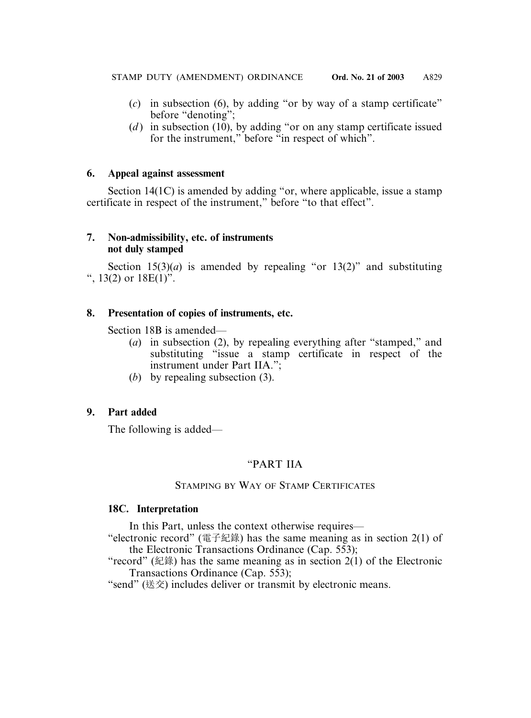- (*c*) in subsection (6), by adding "or by way of a stamp certificate" before "denoting";
- (*d*) in subsection (10), by adding "or on any stamp certificate issued for the instrument," before "in respect of which".

#### **6. Appeal against assessment**

Section 14(1C) is amended by adding "or, where applicable, issue a stamp certificate in respect of the instrument," before "to that effect".

### **7. Non-admissibility, etc. of instruments not duly stamped**

Section  $15(3)(a)$  is amended by repealing "or  $13(2)$ " and substituting ",  $13(2)$  or  $18E(1)$ ".

### **8. Presentation of copies of instruments, etc.**

Section 18B is amended—

- (*a*) in subsection (2), by repealing everything after "stamped," and substituting "issue a stamp certificate in respect of the instrument under Part IIA.";
- (*b*) by repealing subsection (3).

### **9. Part added**

The following is added—

### "PART IIA

#### STAMPING BY WAY OF STAMP CERTIFICATES

#### **18C. Interpretation**

In this Part, unless the context otherwise requires—

"electronic record" (電子紀錄) has the same meaning as in section  $2(1)$  of the Electronic Transactions Ordinance (Cap. 553);

"record" (紀錄) has the same meaning as in section  $2(1)$  of the Electronic Transactions Ordinance (Cap. 553);

"send" (送交) includes deliver or transmit by electronic means.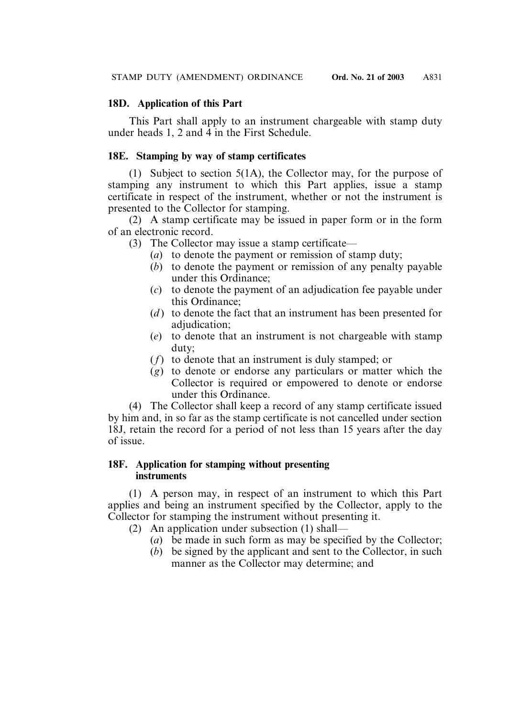### **18D. Application of this Part**

This Part shall apply to an instrument chargeable with stamp duty under heads 1, 2 and 4 in the First Schedule.

### **18E. Stamping by way of stamp certificates**

(1) Subject to section 5(1A), the Collector may, for the purpose of stamping any instrument to which this Part applies, issue a stamp certificate in respect of the instrument, whether or not the instrument is presented to the Collector for stamping.

(2) A stamp certificate may be issued in paper form or in the form of an electronic record.

(3) The Collector may issue a stamp certificate—

- (*a*) to denote the payment or remission of stamp duty;
- (*b*) to denote the payment or remission of any penalty payable under this Ordinance;
- (*c*) to denote the payment of an adjudication fee payable under this Ordinance;
- (*d* ) to denote the fact that an instrument has been presented for adjudication;
- (*e*) to denote that an instrument is not chargeable with stamp duty;
- (*f*) to denote that an instrument is duly stamped; or
- (*g*) to denote or endorse any particulars or matter which the Collector is required or empowered to denote or endorse under this Ordinance.

(4) The Collector shall keep a record of any stamp certificate issued by him and, in so far as the stamp certificate is not cancelled under section 18J, retain the record for a period of not less than 15 years after the day of issue.

#### **18F. Application for stamping without presenting instruments**

(1) A person may, in respect of an instrument to which this Part applies and being an instrument specified by the Collector, apply to the Collector for stamping the instrument without presenting it.

- (2) An application under subsection (1) shall—
	- (*a*) be made in such form as may be specified by the Collector;
	- (*b*) be signed by the applicant and sent to the Collector, in such manner as the Collector may determine; and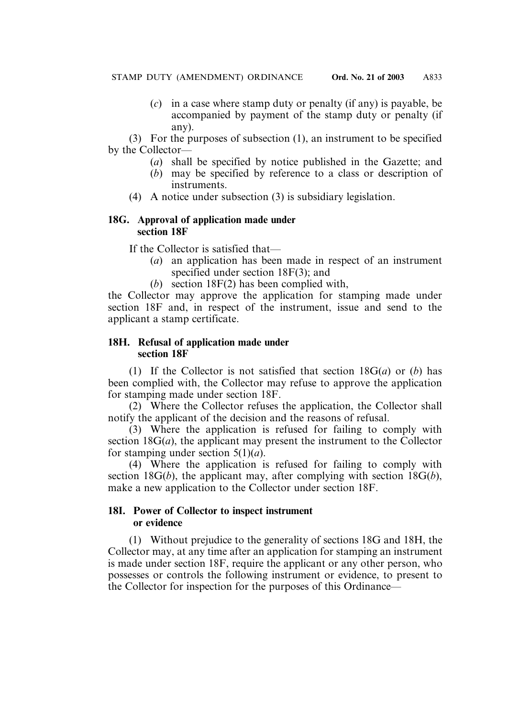(*c*) in a case where stamp duty or penalty (if any) is payable, be accompanied by payment of the stamp duty or penalty (if any).

(3) For the purposes of subsection (1), an instrument to be specified by the Collector—

- (*a*) shall be specified by notice published in the Gazette; and
- (*b*) may be specified by reference to a class or description of instruments.
- (4) A notice under subsection (3) is subsidiary legislation.

### **18G. Approval of application made under section 18F**

If the Collector is satisfied that—

- (*a*) an application has been made in respect of an instrument specified under section 18F(3); and
- (*b*) section 18F(2) has been complied with,

the Collector may approve the application for stamping made under section 18F and, in respect of the instrument, issue and send to the applicant a stamp certificate.

#### **18H. Refusal of application made under section 18F**

(1) If the Collector is not satisfied that section 18G(*a*) or (*b*) has been complied with, the Collector may refuse to approve the application for stamping made under section 18F.

(2) Where the Collector refuses the application, the Collector shall notify the applicant of the decision and the reasons of refusal.

(3) Where the application is refused for failing to comply with section 18G(*a*), the applicant may present the instrument to the Collector for stamping under section 5(1)(*a*).

(4) Where the application is refused for failing to comply with section 18G(*b*), the applicant may, after complying with section 18G(*b*), make a new application to the Collector under section 18F.

### **18I. Power of Collector to inspect instrument or evidence**

(1) Without prejudice to the generality of sections 18G and 18H, the Collector may, at any time after an application for stamping an instrument is made under section 18F, require the applicant or any other person, who possesses or controls the following instrument or evidence, to present to the Collector for inspection for the purposes of this Ordinance—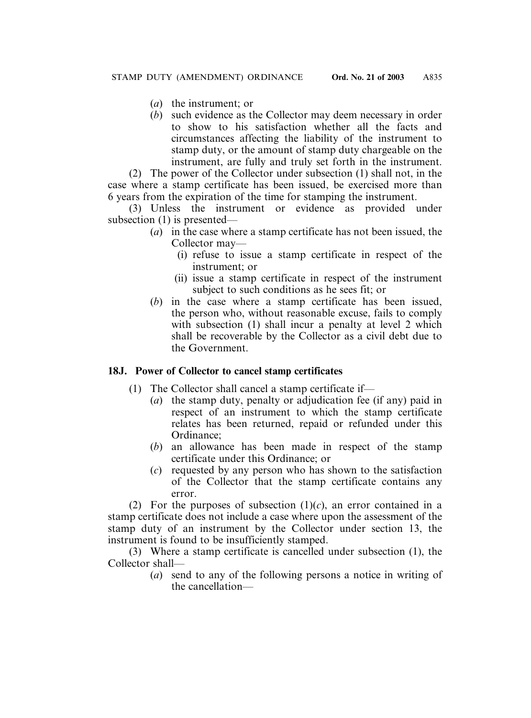- (*a*) the instrument; or
- (*b*) such evidence as the Collector may deem necessary in order to show to his satisfaction whether all the facts and circumstances affecting the liability of the instrument to stamp duty, or the amount of stamp duty chargeable on the instrument, are fully and truly set forth in the instrument.

(2) The power of the Collector under subsection (1) shall not, in the case where a stamp certificate has been issued, be exercised more than 6 years from the expiration of the time for stamping the instrument.

(3) Unless the instrument or evidence as provided under subsection (1) is presented—

- (*a*) in the case where a stamp certificate has not been issued, the Collector may—
	- (i) refuse to issue a stamp certificate in respect of the instrument; or
	- (ii) issue a stamp certificate in respect of the instrument subject to such conditions as he sees fit; or
- (*b*) in the case where a stamp certificate has been issued, the person who, without reasonable excuse, fails to comply with subsection (1) shall incur a penalty at level 2 which shall be recoverable by the Collector as a civil debt due to the Government.

### **18J. Power of Collector to cancel stamp certificates**

- (1) The Collector shall cancel a stamp certificate if—
	- (*a*) the stamp duty, penalty or adjudication fee (if any) paid in respect of an instrument to which the stamp certificate relates has been returned, repaid or refunded under this Ordinance;
	- (*b*) an allowance has been made in respect of the stamp certificate under this Ordinance; or
	- (*c*) requested by any person who has shown to the satisfaction of the Collector that the stamp certificate contains any error.

(2) For the purposes of subsection  $(1)(c)$ , an error contained in a stamp certificate does not include a case where upon the assessment of the stamp duty of an instrument by the Collector under section 13, the instrument is found to be insufficiently stamped.

(3) Where a stamp certificate is cancelled under subsection (1), the Collector shall—

(*a*) send to any of the following persons a notice in writing of the cancellation—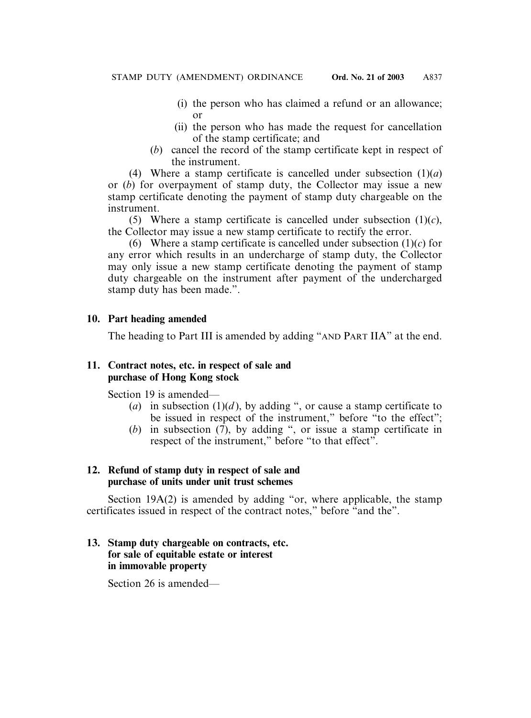- (i) the person who has claimed a refund or an allowance; or
- (ii) the person who has made the request for cancellation of the stamp certificate; and
- (*b*) cancel the record of the stamp certificate kept in respect of the instrument.

(4) Where a stamp certificate is cancelled under subsection  $(1)(a)$ or (*b*) for overpayment of stamp duty, the Collector may issue a new stamp certificate denoting the payment of stamp duty chargeable on the instrument.

(5) Where a stamp certificate is cancelled under subsection  $(1)(c)$ , the Collector may issue a new stamp certificate to rectify the error.

(6) Where a stamp certificate is cancelled under subsection (1)(*c*) for any error which results in an undercharge of stamp duty, the Collector may only issue a new stamp certificate denoting the payment of stamp duty chargeable on the instrument after payment of the undercharged stamp duty has been made.".

#### **10. Part heading amended**

The heading to Part III is amended by adding "AND PART IIA" at the end.

#### **11. Contract notes, etc. in respect of sale and purchase of Hong Kong stock**

Section 19 is amended—

- (*a*) in subsection (1)(*d*), by adding ", or cause a stamp certificate to be issued in respect of the instrument," before "to the effect";
- (*b*) in subsection  $(7)$ , by adding ", or issue a stamp certificate in respect of the instrument," before "to that effect".

#### **12. Refund of stamp duty in respect of sale and purchase of units under unit trust schemes**

Section 19A(2) is amended by adding "or, where applicable, the stamp certificates issued in respect of the contract notes," before "and the".

# **13. Stamp duty chargeable on contracts, etc. for sale of equitable estate or interest in immovable property**

Section 26 is amended—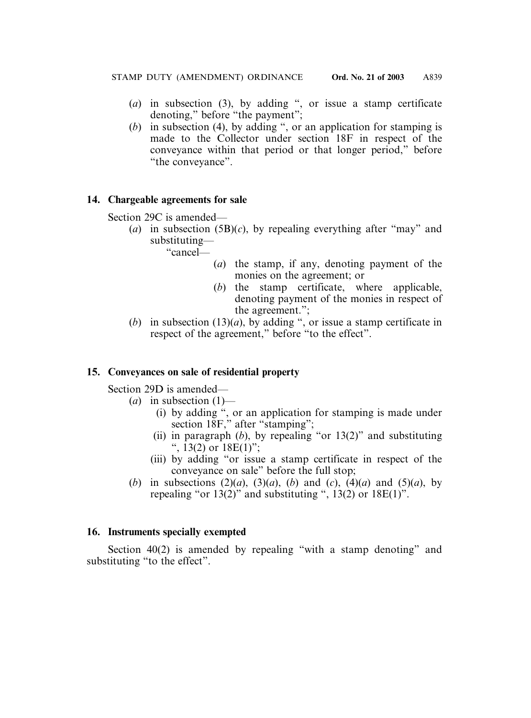- (*a*) in subsection (3), by adding ", or issue a stamp certificate denoting," before "the payment";
- (*b*) in subsection (4), by adding ", or an application for stamping is made to the Collector under section 18F in respect of the conveyance within that period or that longer period," before "the conveyance".

#### **14. Chargeable agreements for sale**

Section 29C is amended—

(*a*) in subsection (5B)(*c*), by repealing everything after "may" and substituting—

"cancel—

- (*a*) the stamp, if any, denoting payment of the monies on the agreement; or
- (*b*) the stamp certificate, where applicable, denoting payment of the monies in respect of the agreement.";
- (*b*) in subsection (13)(*a*), by adding ", or issue a stamp certificate in respect of the agreement," before "to the effect".

### **15. Conveyances on sale of residential property**

Section 29D is amended—

- $(a)$  in subsection  $(1)$ 
	- (i) by adding ", or an application for stamping is made under section 18F," after "stamping";
	- (ii) in paragraph  $(b)$ , by repealing "or 13(2)" and substituting ",  $13(2)$  or  $18E(1)$ ";
	- (iii) by adding "or issue a stamp certificate in respect of the conveyance on sale" before the full stop;
- (*b*) in subsections (2)(*a*), (3)(*a*), (*b*) and (*c*), (4)(*a*) and (5)(*a*), by repealing "or  $13(2)$ " and substituting ",  $13(2)$  or  $18E(1)$ ".

#### **16. Instruments specially exempted**

Section 40(2) is amended by repealing "with a stamp denoting" and substituting "to the effect".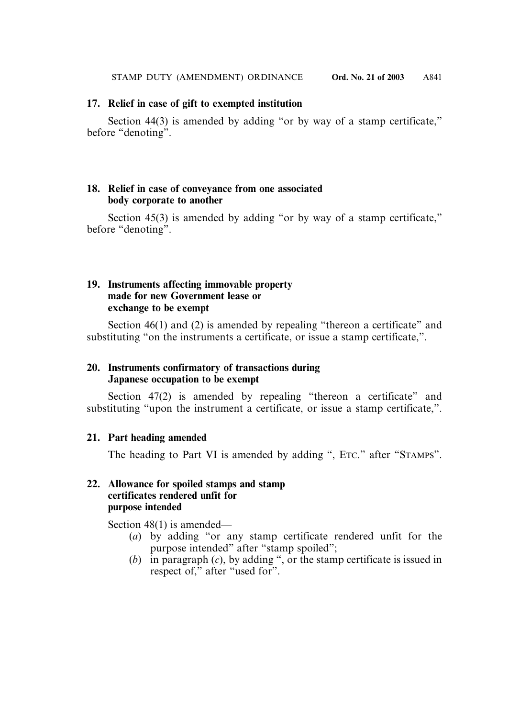#### **17. Relief in case of gift to exempted institution**

Section 44(3) is amended by adding "or by way of a stamp certificate," before "denoting".

#### **18. Relief in case of conveyance from one associated body corporate to another**

Section 45(3) is amended by adding "or by way of a stamp certificate," before "denoting".

#### **19. Instruments affecting immovable property made for new Government lease or exchange to be exempt**

Section 46(1) and (2) is amended by repealing "thereon a certificate" and substituting "on the instruments a certificate, or issue a stamp certificate,".

#### **20. Instruments confirmatory of transactions during Japanese occupation to be exempt**

Section 47(2) is amended by repealing "thereon a certificate" and substituting "upon the instrument a certificate, or issue a stamp certificate,".

#### **21. Part heading amended**

The heading to Part VI is amended by adding ", ETC." after "STAMPS".

#### **22. Allowance for spoiled stamps and stamp certificates rendered unfit for purpose intended**

Section 48(1) is amended—

- (*a*) by adding "or any stamp certificate rendered unfit for the purpose intended" after "stamp spoiled";
- (*b*) in paragraph (*c*), by adding ", or the stamp certificate is issued in respect of," after "used for".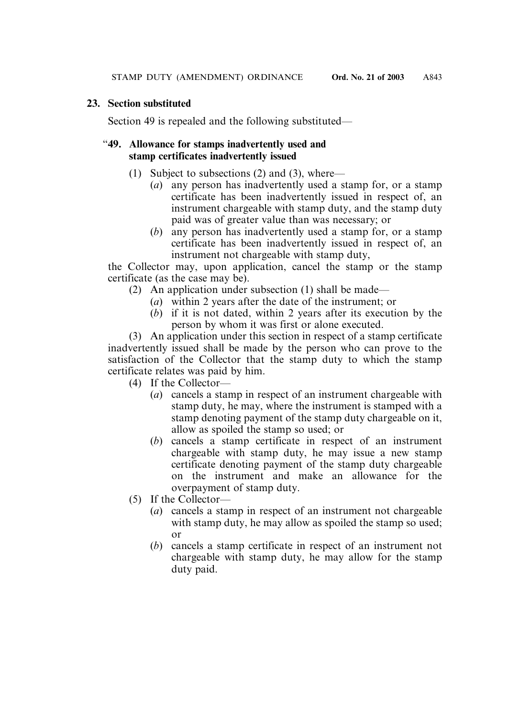#### **23. Section substituted**

Section 49 is repealed and the following substituted—

#### "**49. Allowance for stamps inadvertently used and stamp certificates inadvertently issued**

- (1) Subject to subsections (2) and (3), where—
	- (*a*) any person has inadvertently used a stamp for, or a stamp certificate has been inadvertently issued in respect of, an instrument chargeable with stamp duty, and the stamp duty paid was of greater value than was necessary; or
	- (*b*) any person has inadvertently used a stamp for, or a stamp certificate has been inadvertently issued in respect of, an instrument not chargeable with stamp duty,

the Collector may, upon application, cancel the stamp or the stamp certificate (as the case may be).

- (2) An application under subsection (1) shall be made—
	- (*a*) within 2 years after the date of the instrument; or
	- (*b*) if it is not dated, within 2 years after its execution by the person by whom it was first or alone executed.

(3) An application under this section in respect of a stamp certificate inadvertently issued shall be made by the person who can prove to the satisfaction of the Collector that the stamp duty to which the stamp certificate relates was paid by him.

- (4) If the Collector—
	- (*a*) cancels a stamp in respect of an instrument chargeable with stamp duty, he may, where the instrument is stamped with a stamp denoting payment of the stamp duty chargeable on it, allow as spoiled the stamp so used; or
	- (*b*) cancels a stamp certificate in respect of an instrument chargeable with stamp duty, he may issue a new stamp certificate denoting payment of the stamp duty chargeable on the instrument and make an allowance for the overpayment of stamp duty.
- (5) If the Collector—
	- (*a*) cancels a stamp in respect of an instrument not chargeable with stamp duty, he may allow as spoiled the stamp so used; or
	- (*b*) cancels a stamp certificate in respect of an instrument not chargeable with stamp duty, he may allow for the stamp duty paid.